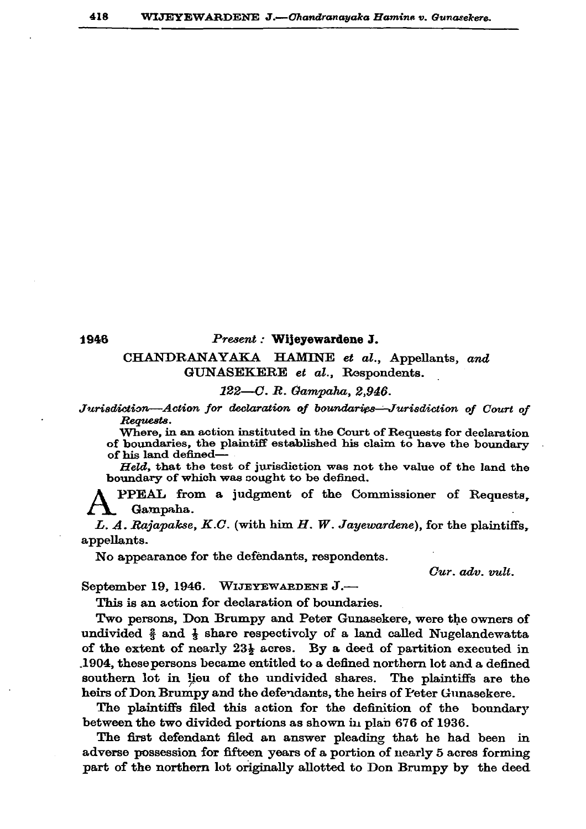1946

## Present : Wijeyewardene J.

## CHANDRANAYAKA HAMINE et al., Appellants, and GUNASEKERE et al., Rospondents.

## 122-C. R. Gampaha, 2.946.

Jurisdiction-Action for declaration of boundaries-Jurisdiction of Court of Requests.

Where, in an action instituted in the Court of Requests for declaration of boundaries, the plaintiff established his claim to have the boundary of his land defined-

Held. that the test of jurisdiction was not the value of the land the boundary of which was sought to be defined.

PPEAL from a judgment of the Commissioner of Requests. Gampaha.

L. A. Rajapakse, K.C. (with him  $H$ . W. Jayewardene), for the plaintiffs, appellants.

No appearance for the defendants, respondents.

Cur. adv. vult.

September 19, 1946. WIJEYEWARDENE J.-

This is an action for declaration of boundaries.

Two persons, Don Brumpy and Peter Gunasekere, were the owners of undivided  $\frac{2}{3}$  and  $\frac{1}{3}$  share respectively of a land called Nugelandewatta of the extent of nearly  $23\frac{1}{2}$  acres. By a deed of partition executed in .1904, these persons became entitled to a defined northern lot and a defined southern lot in lieu of the undivided shares. The plaintiffs are the heirs of Don Brumpy and the defendants, the heirs of Peter Gunasekere.

The plaintiffs filed this action for the definition of the boundary between the two divided portions as shown in plan 676 of 1936.

The first defendant filed an answer pleading that he had been in adverse possession for fifteen years of a portion of nearly 5 acres forming part of the northern lot originally allotted to Don Brumpy by the deed